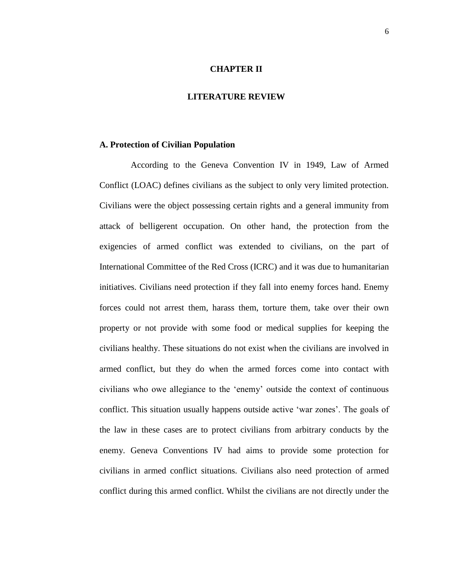# **CHAPTER II**

#### **LITERATURE REVIEW**

### **A. Protection of Civilian Population**

According to the Geneva Convention IV in 1949, Law of Armed Conflict (LOAC) defines civilians as the subject to only very limited protection. Civilians were the object possessing certain rights and a general immunity from attack of belligerent occupation. On other hand, the protection from the exigencies of armed conflict was extended to civilians, on the part of International Committee of the Red Cross (ICRC) and it was due to humanitarian initiatives. Civilians need protection if they fall into enemy forces hand. Enemy forces could not arrest them, harass them, torture them, take over their own property or not provide with some food or medical supplies for keeping the civilians healthy. These situations do not exist when the civilians are involved in armed conflict, but they do when the armed forces come into contact with civilians who owe allegiance to the "enemy" outside the context of continuous conflict. This situation usually happens outside active 'war zones'. The goals of the law in these cases are to protect civilians from arbitrary conducts by the enemy. Geneva Conventions IV had aims to provide some protection for civilians in armed conflict situations. Civilians also need protection of armed conflict during this armed conflict. Whilst the civilians are not directly under the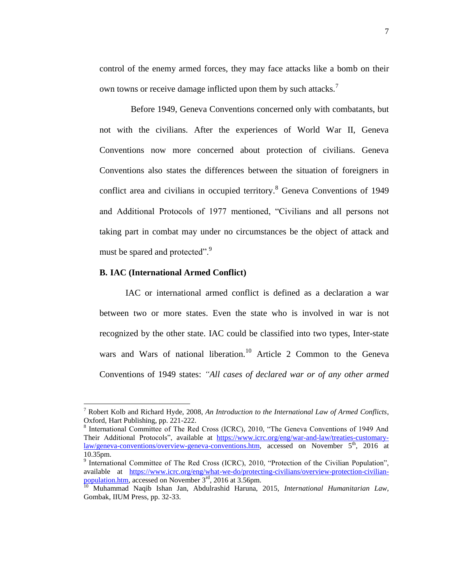control of the enemy armed forces, they may face attacks like a bomb on their own towns or receive damage inflicted upon them by such attacks.<sup>7</sup>

Before 1949, Geneva Conventions concerned only with combatants, but not with the civilians. After the experiences of World War II, Geneva Conventions now more concerned about protection of civilians. Geneva Conventions also states the differences between the situation of foreigners in conflict area and civilians in occupied territory. <sup>8</sup> Geneva Conventions of 1949 and Additional Protocols of 1977 mentioned, "Civilians and all persons not taking part in combat may under no circumstances be the object of attack and must be spared and protected".<sup>9</sup>

### **B. IAC (International Armed Conflict)**

 $\overline{a}$ 

IAC or international armed conflict is defined as a declaration a war between two or more states. Even the state who is involved in war is not recognized by the other state. IAC could be classified into two types, Inter-state wars and Wars of national liberation.<sup>10</sup> Article 2 Common to the Geneva Conventions of 1949 states: *"All cases of declared war or of any other armed* 

<sup>7</sup> Robert Kolb and Richard Hyde, 2008, *An Introduction to the International Law of Armed Conflicts*, Oxford, Hart Publishing, pp. 221-222.

<sup>&</sup>lt;sup>8</sup> International Committee of The Red Cross (ICRC), 2010, "The Geneva Conventions of 1949 And Their Additional Protocols", available at [https://www.icrc.org/eng/war-and-law/treaties-customary](https://www.icrc.org/eng/war-and-law/treaties-customary-law/geneva-conventions/overview-geneva-conventions.htm)[law/geneva-conventions/overview-geneva-conventions.htm,](https://www.icrc.org/eng/war-and-law/treaties-customary-law/geneva-conventions/overview-geneva-conventions.htm) accessed on November 5<sup>th</sup>, 2016 at 10.35pm.

<sup>&</sup>lt;sup>9</sup> International Committee of The Red Cross (ICRC), 2010, "Protection of the Civilian Population", available at [https://www.icrc.org/eng/what-we-do/protecting-civilians/overview-protection-civilian](https://www.icrc.org/eng/what-we-do/protecting-civilians/overview-protection-civilian-population.htm)[population.htm,](https://www.icrc.org/eng/what-we-do/protecting-civilians/overview-protection-civilian-population.htm) accessed on November 3<sup>rd</sup>, 2016 at 3.56pm.

<sup>10</sup> Muhammad Naqib Ishan Jan, Abdulrashid Haruna, 2015, *International Humanitarian Law*, Gombak, IIUM Press, pp. 32-33.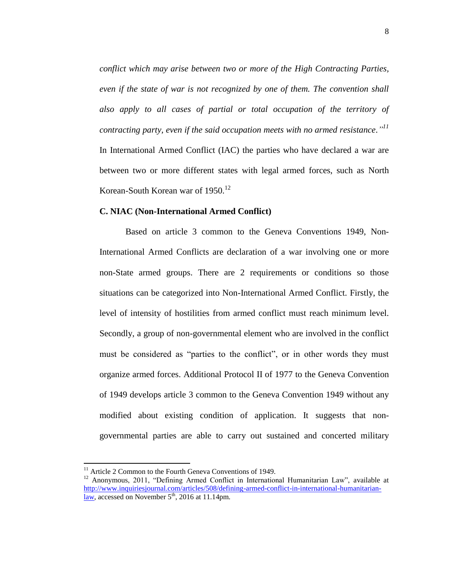*conflict which may arise between two or more of the High Contracting Parties, even if the state of war is not recognized by one of them. The convention shall also apply to all cases of partial or total occupation of the territory of contracting party, even if the said occupation meets with no armed resistance." 11* In International Armed Conflict (IAC) the parties who have declared a war are between two or more different states with legal armed forces, such as North Korean-South Korean war of  $1950.<sup>12</sup>$ 

# **C. NIAC (Non-International Armed Conflict)**

Based on article 3 common to the Geneva Conventions 1949, Non-International Armed Conflicts are declaration of a war involving one or more non-State armed groups. There are 2 requirements or conditions so those situations can be categorized into Non-International Armed Conflict. Firstly, the level of intensity of hostilities from armed conflict must reach minimum level. Secondly, a group of non-governmental element who are involved in the conflict must be considered as "parties to the conflict", or in other words they must organize armed forces. Additional Protocol II of 1977 to the Geneva Convention of 1949 develops article 3 common to the Geneva Convention 1949 without any modified about existing condition of application. It suggests that nongovernmental parties are able to carry out sustained and concerted military

 $\overline{a}$ 

<sup>&</sup>lt;sup>11</sup> Article 2 Common to the Fourth Geneva Conventions of 1949.

<sup>&</sup>lt;sup>12</sup> Anonymous, 2011, "Defining Armed Conflict in International Humanitarian Law", available at [http://www.inquiriesjournal.com/articles/508/defining-armed-conflict-in-international-humanitarian](http://www.inquiriesjournal.com/articles/508/defining-armed-conflict-in-international-humanitarian-law)[law,](http://www.inquiriesjournal.com/articles/508/defining-armed-conflict-in-international-humanitarian-law) accessed on November  $5<sup>th</sup>$ , 2016 at 11.14pm.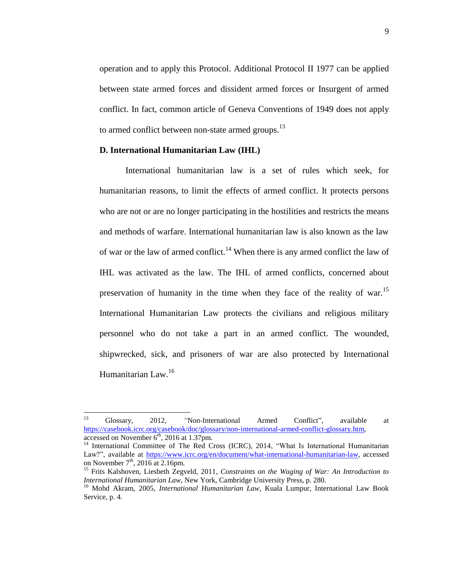operation and to apply this Protocol. Additional Protocol II 1977 can be applied between state armed forces and dissident armed forces or Insurgent of armed conflict. In fact, common article of Geneva Conventions of 1949 does not apply to armed conflict between non-state armed groups.<sup>13</sup>

# **D. International Humanitarian Law (IHL)**

International humanitarian law is a set of rules which seek, for humanitarian reasons, to limit the effects of armed conflict. It protects persons who are not or are no longer participating in the hostilities and restricts the means and methods of warfare. International humanitarian law is also known as the law of war or the law of armed conflict.<sup>14</sup> When there is any armed conflict the law of IHL was activated as the law. The IHL of armed conflicts, concerned about preservation of humanity in the time when they face of the reality of war.<sup>15</sup> International Humanitarian Law protects the civilians and religious military personnel who do not take a part in an armed conflict. The wounded, shipwrecked, sick, and prisoners of war are also protected by International Humanitarian Law.<sup>16</sup>

<sup>13</sup> <sup>13</sup> Glossary, 2012, *"*Non-International Armed Conflict", available at [https://casebook.icrc.org/casebook/doc/glossary/non-international-armed-conflict-glossary.htm,](https://casebook.icrc.org/casebook/doc/glossary/non-international-armed-conflict-glossary.htm) accessed on November  $6<sup>th</sup>$ , 2016 at 1.37pm.

<sup>&</sup>lt;sup>14</sup> International Committee of The Red Cross (ICRC), 2014, "What Is International Humanitarian Law?", available at [https://www.icrc.org/en/document/what-international-humanitarian-law,](https://www.icrc.org/en/document/what-international-humanitarian-law) accessed on November  $7<sup>th</sup>$ , 2016 at 2.16pm.

<sup>&</sup>lt;sup>15</sup> Frits Kalshoven, Liesbeth Zegveld, 2011, Constraints on the Waging of War: An Introduction to *International Humanitarian Law*, New York, Cambridge University Press, p. 280.

<sup>16</sup> Mohd Akram, 2005, *International Humanitarian Law*, Kuala Lumpur, International Law Book Service, p. 4.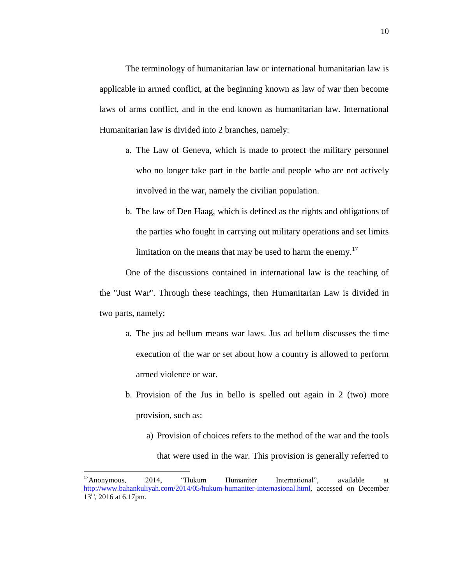The terminology of humanitarian law or international humanitarian law is applicable in armed conflict, at the beginning known as law of war then become laws of arms conflict, and in the end known as humanitarian law. International Humanitarian law is divided into 2 branches, namely:

- a. The Law of Geneva, which is made to protect the military personnel who no longer take part in the battle and people who are not actively involved in the war, namely the civilian population.
- b. The law of Den Haag, which is defined as the rights and obligations of the parties who fought in carrying out military operations and set limits limitation on the means that may be used to harm the enemy.<sup>17</sup>

One of the discussions contained in international law is the teaching of the "Just War". Through these teachings, then Humanitarian Law is divided in two parts, namely:

- a. The jus ad bellum means war laws. Jus ad bellum discusses the time execution of the war or set about how a country is allowed to perform armed violence or war.
- b. Provision of the Jus in bello is spelled out again in 2 (two) more provision, such as:
	- a) Provision of choices refers to the method of the war and the tools that were used in the war. This provision is generally referred to

 $\ddot{\phantom{a}}$ 

<sup>&</sup>lt;sup>17</sup>Anonymous, 2014, "Hukum Humaniter International", available at [http://www.bahankuliyah.com/2014/05/hukum-humaniter-internasional.html,](http://www.bahankuliyah.com/2014/05/hukum-humaniter-internasional.html) accessed on December  $13<sup>th</sup>$ , 2016 at 6.17pm.